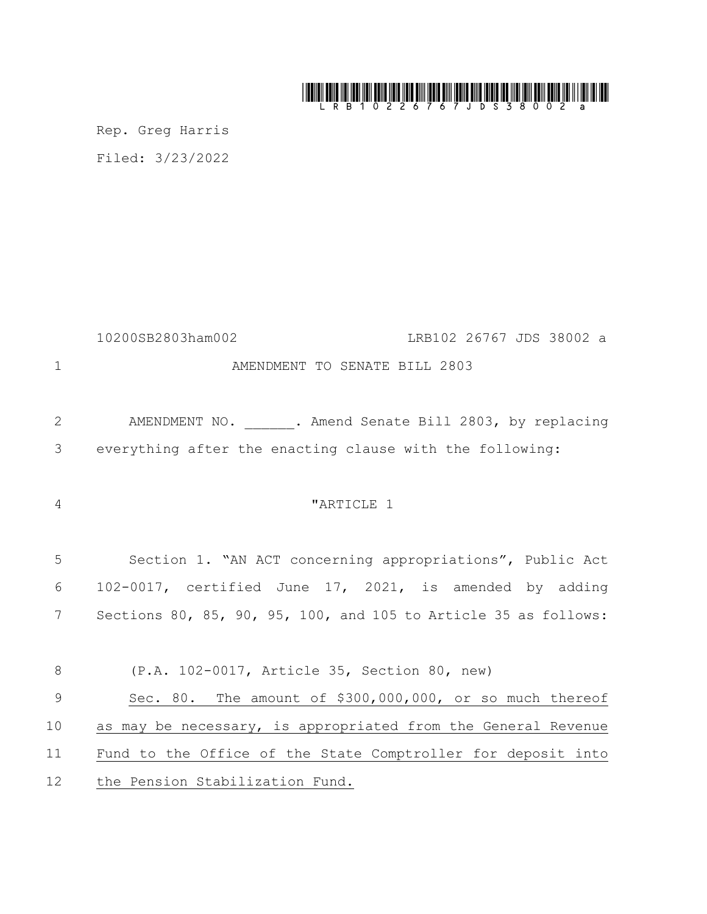## 

Rep. Greg Harris Filed: 3/23/2022

10200SB2803ham002 LRB102 26767 JDS 38002 a **AMENDMENT TO SENATE BILL 2803** 2 AMENDMENT NO. 3. Amend Senate Bill 2803, by replacing everything after the enacting clause with the following: <sup>4</sup>  $\blacksquare$   $\blacksquare$   $\blacksquare$   $\blacksquare$   $\blacksquare$   $\blacksquare$   $\blacksquare$   $\blacksquare$   $\blacksquare$   $\blacksquare$   $\blacksquare$   $\blacksquare$   $\blacksquare$   $\blacksquare$   $\blacksquare$   $\blacksquare$   $\blacksquare$   $\blacksquare$   $\blacksquare$   $\blacksquare$   $\blacksquare$   $\blacksquare$   $\blacksquare$   $\blacksquare$   $\blacksquare$   $\blacksquare$   $\blacksquare$   $\blacksquare$   $\blacksquare$   $\blacksquare$   $\blacksquare$  Section 1. "AN ACT concerning appropriations", Public Act 102-0017, certified June 17, 2021, is amended by adding Sections 80, 85, 90, 95, 100, and 105 to Article 35 as follows: (P.A. 102-0017, Article 35, Section 80, new) Sec. 80. The amount of \$300,000,000, or so much thereof as may be necessary, is appropriated from the General Revenue Fund to the Office of the State Comptroller for deposit into the Pension Stabilization Fund.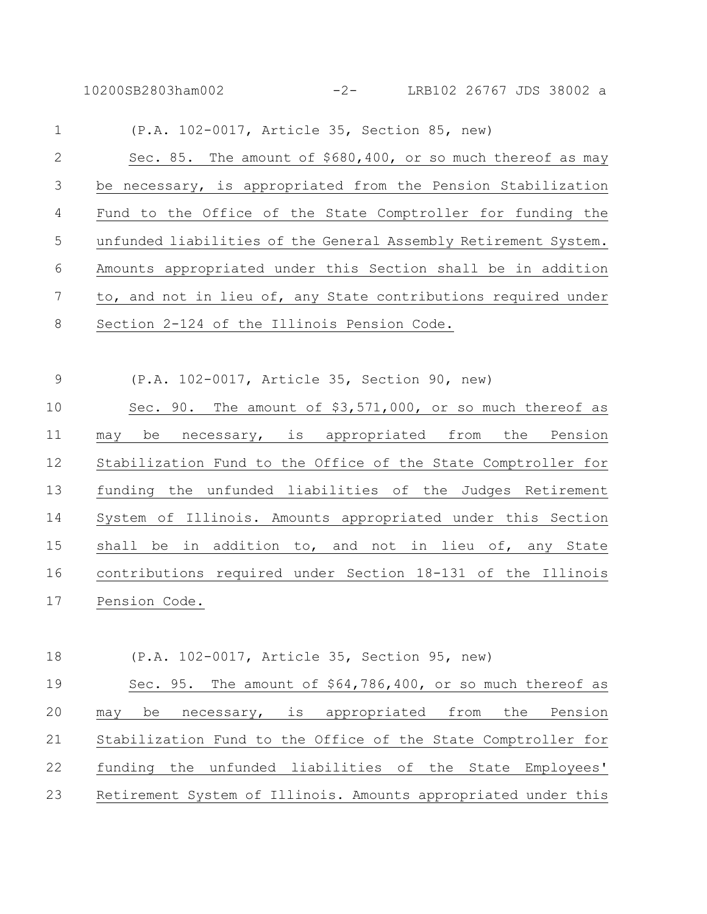10200SB2803ham002 -2- LRB102 26767 JDS 38002 a

| $\mathbf 1$     | (P.A. 102-0017, Article 35, Section 85, new)                    |
|-----------------|-----------------------------------------------------------------|
| $\mathbf{2}$    | Sec. 85. The amount of \$680,400, or so much thereof as may     |
| $\mathfrak{Z}$  | be necessary, is appropriated from the Pension Stabilization    |
| 4               | Fund to the Office of the State Comptroller for funding the     |
| 5               | unfunded liabilities of the General Assembly Retirement System. |
| $6\,$           | Amounts appropriated under this Section shall be in addition    |
| $7\phantom{.0}$ | to, and not in lieu of, any State contributions required under  |
| 8               | Section 2-124 of the Illinois Pension Code.                     |
|                 |                                                                 |
| 9               | (P.A. 102-0017, Article 35, Section 90, new)                    |
| 10              | Sec. 90. The amount of \$3,571,000, or so much thereof as       |
| 11              | be necessary, is appropriated from the Pension<br>may           |
| 12              | Stabilization Fund to the Office of the State Comptroller for   |
| 13              | funding the unfunded liabilities of the Judges Retirement       |
| 14              | System of Illinois. Amounts appropriated under this Section     |
| 15              | shall be in addition to, and not in lieu of, any State          |

 contributions required under Section 18-131 of the Illinois Pension Code.

(P.A. 102-0017, Article 35, Section 95, new)

 Sec. 95. The amount of \$64,786,400, or so much thereof as may be necessary, is appropriated from the Pension Stabilization Fund to the Office of the State Comptroller for funding the unfunded liabilities of the State Employees' Retirement System of Illinois. Amounts appropriated under this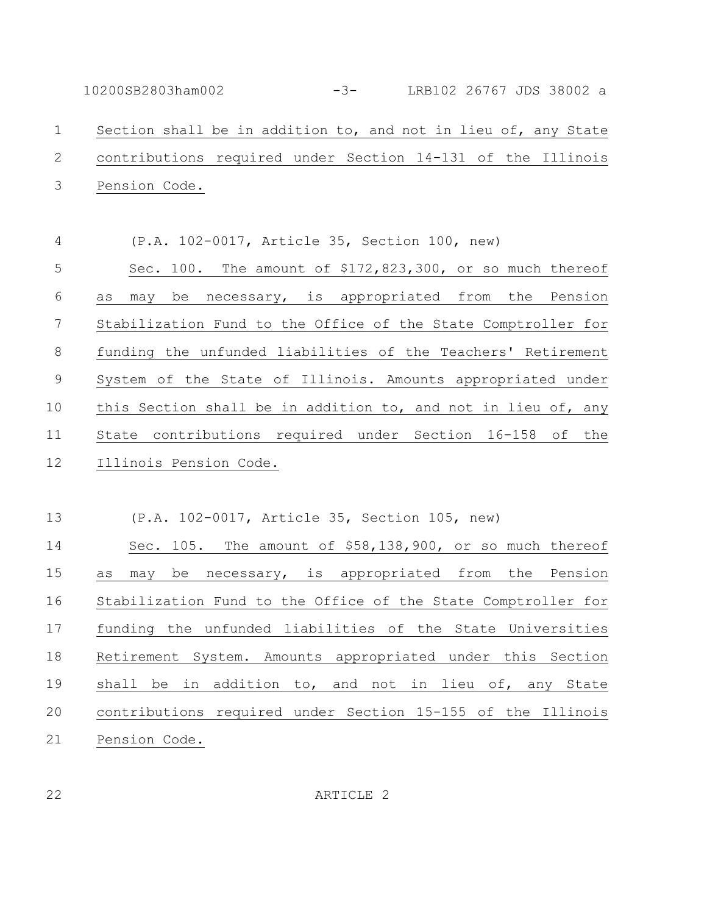10200SB2803ham002 -3- LRB102 26767 JDS 38002 a Section shall be in addition to, and not in lieu of, any State contributions required under Section 14-131 of the Illinois Pension Code.

 (P.A. 102-0017, Article 35, Section 100, new) Sec. 100. The amount of \$172,823,300, or so much thereof as may be necessary, is appropriated from the Pension Stabilization Fund to the Office of the State Comptroller for funding the unfunded liabilities of the Teachers' Retirement System of the State of Illinois. Amounts appropriated under this Section shall be in addition to, and not in lieu of, any State contributions required under Section 16-158 of the Illinois Pension Code.

(P.A. 102-0017, Article 35, Section 105, new)

 Sec. 105. The amount of \$58,138,900, or so much thereof as may be necessary, is appropriated from the Pension Stabilization Fund to the Office of the State Comptroller for funding the unfunded liabilities of the State Universities Retirement System. Amounts appropriated under this Section shall be in addition to, and not in lieu of, any State contributions required under Section 15-155 of the Illinois Pension Code.

ARTICLE 2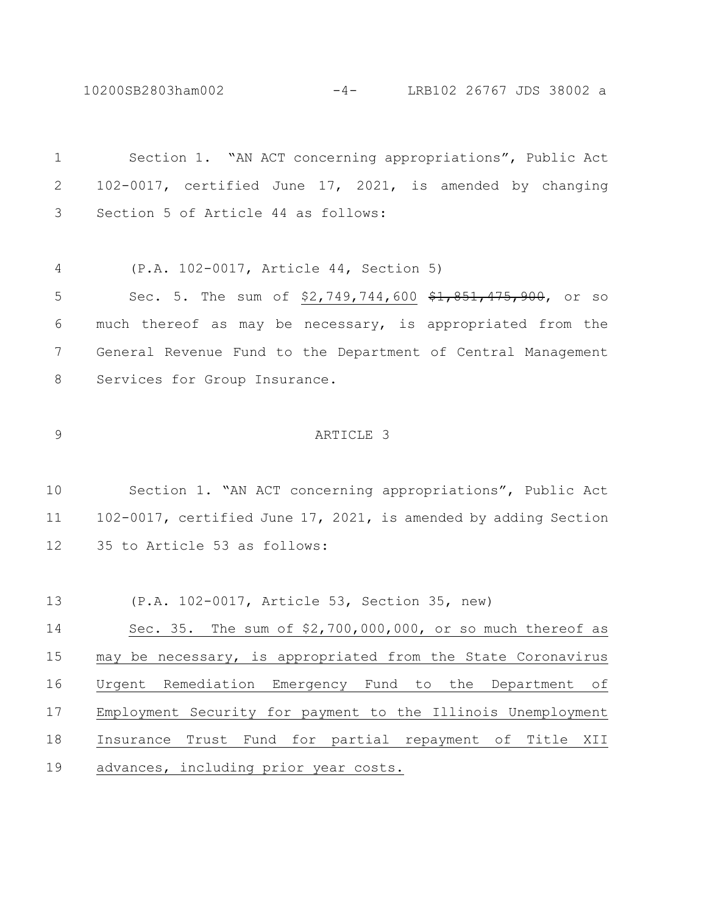10200SB2803ham002 -4- LRB102 26767 JDS 38002 a

 Section 1. "AN ACT concerning appropriations", Public Act 102-0017, certified June 17, 2021, is amended by changing Section 5 of Article 44 as follows: (P.A. 102-0017, Article 44, Section 5) 5 Sec. 5. The sum of \$2,749,744,600 \$1,851,475,900, or so much thereof as may be necessary, is appropriated from the General Revenue Fund to the Department of Central Management 8 Services for Group Insurance. ARTICLE 3 Section 1. "AN ACT concerning appropriations", Public Act 102-0017, certified June 17, 2021, is amended by adding Section 35 to Article 53 as follows: (P.A. 102-0017, Article 53, Section 35, new) Sec. 35. The sum of \$2,700,000,000, or so much thereof as may be necessary, is appropriated from the State Coronavirus Urgent Remediation Emergency Fund to the Department of Employment Security for payment to the Illinois Unemployment Insurance Trust Fund for partial repayment of Title XII advances, including prior year costs.